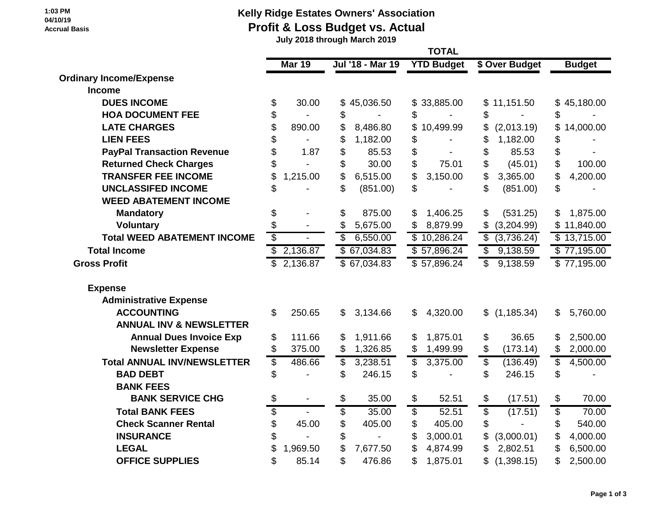**1:03 PM 04/10/19 Accrual Basis**

## **Kelly Ridge Estates Owners' Association Profit & Loss Budget vs. Actual**

 **July 2018 through March 2019**

| <b>Ordinary Income/Expense</b>     |    | <b>Mar 19</b> |                 | Jul '18 - Mar 19 |                         | <b>YTD Budget</b> |                          | \$ Over Budget |                          | <b>Budget</b> |  |
|------------------------------------|----|---------------|-----------------|------------------|-------------------------|-------------------|--------------------------|----------------|--------------------------|---------------|--|
|                                    |    |               |                 |                  |                         |                   |                          |                |                          |               |  |
| <b>Income</b>                      |    |               |                 |                  |                         |                   |                          |                |                          |               |  |
| <b>DUES INCOME</b>                 | \$ | 30.00         |                 | \$45,036.50      |                         | \$33,885.00       | \$                       | 11,151.50      |                          | \$45,180.00   |  |
| <b>HOA DOCUMENT FEE</b>            | \$ |               | \$              |                  | \$                      |                   | \$                       |                | \$                       |               |  |
| <b>LATE CHARGES</b>                | \$ | 890.00        | \$              | 8,486.80         | \$                      | 10,499.99         | \$                       | (2,013.19)     | \$                       | 14,000.00     |  |
| <b>LIEN FEES</b>                   | \$ |               | \$              | 1,182.00         | \$                      |                   | \$                       | 1,182.00       | \$                       |               |  |
| <b>PayPal Transaction Revenue</b>  | \$ | 1.87          | \$              | 85.53            | \$                      |                   | \$                       | 85.53          | \$                       |               |  |
| <b>Returned Check Charges</b>      | \$ |               | \$              | 30.00            | \$                      | 75.01             | \$                       | (45.01)        | \$                       | 100.00        |  |
| <b>TRANSFER FEE INCOME</b>         | \$ | 1,215.00      | \$              | 6,515.00         | \$                      | 3,150.00          | \$                       | 3,365.00       | \$                       | 4,200.00      |  |
| <b>UNCLASSIFED INCOME</b>          |    |               | \$              | (851.00)         | \$                      |                   | \$                       | (851.00)       | \$                       |               |  |
| <b>WEED ABATEMENT INCOME</b>       |    |               |                 |                  |                         |                   |                          |                |                          |               |  |
| <b>Mandatory</b>                   | \$ |               | \$              | 875.00           | \$                      | 1,406.25          | \$                       | (531.25)       | \$                       | 1,875.00      |  |
| <b>Voluntary</b>                   | \$ |               | \$              | 5,675.00         |                         | 8,879.99          |                          | (3,204.99)     |                          | \$11,840.00   |  |
| <b>Total WEED ABATEMENT INCOME</b> | \$ |               | \$              | 6,550.00         |                         | \$10,286.24       | \$                       | (3,736.24)     |                          | \$13,715.00   |  |
| <b>Total Income</b>                |    | \$2,136.87    |                 | \$67,034.83      |                         | \$57,896.24       | \$                       | 9,138.59       |                          | \$77,195.00   |  |
| <b>Gross Profit</b>                | \$ | 2,136.87      |                 | \$67,034.83      |                         | \$57,896.24       | \$                       | 9,138.59       |                          | \$77,195.00   |  |
| <b>Expense</b>                     |    |               |                 |                  |                         |                   |                          |                |                          |               |  |
| <b>Administrative Expense</b>      |    |               |                 |                  |                         |                   |                          |                |                          |               |  |
| <b>ACCOUNTING</b>                  | \$ | 250.65        | \$              | 3,134.66         | \$                      | 4,320.00          | \$                       | (1, 185.34)    | $\mathfrak{S}$           | 5,760.00      |  |
| <b>ANNUAL INV &amp; NEWSLETTER</b> |    |               |                 |                  |                         |                   |                          |                |                          |               |  |
| <b>Annual Dues Invoice Exp</b>     | \$ | 111.66        | \$              | 1,911.66         |                         | 1,875.01          | \$                       | 36.65          | \$                       | 2,500.00      |  |
| <b>Newsletter Expense</b>          | \$ | 375.00        | \$              | 1,326.85         | \$                      | 1,499.99          | \$                       | (173.14)       | \$                       | 2,000.00      |  |
| <b>Total ANNUAL INV/NEWSLETTER</b> | \$ | 486.66        | \$              | 3,238.51         | \$                      | 3,375.00          | $\overline{\mathcal{S}}$ | (136.49)       | $\overline{\mathcal{S}}$ | 4,500.00      |  |
| <b>BAD DEBT</b>                    | \$ |               | \$              | 246.15           | \$                      |                   | \$                       | 246.15         | \$                       |               |  |
| <b>BANK FEES</b>                   |    |               |                 |                  |                         |                   |                          |                |                          |               |  |
| <b>BANK SERVICE CHG</b>            | \$ |               | \$              | 35.00            | \$                      | 52.51             | \$                       | (17.51)        | \$                       | 70.00         |  |
| <b>Total BANK FEES</b>             | \$ |               | $\overline{\$}$ | 35.00            | $\overline{\mathbb{S}}$ | 52.51             | $\overline{\$}$          | (17.51)        | $\overline{\$}$          | 70.00         |  |
| <b>Check Scanner Rental</b>        | \$ | 45.00         | \$              | 405.00           | \$                      | 405.00            | \$                       |                | \$                       | 540.00        |  |
| <b>INSURANCE</b>                   | \$ |               | \$              |                  | \$                      | 3,000.01          |                          | (3,000.01)     | \$                       | 4,000.00      |  |
| <b>LEGAL</b>                       |    | 1,969.50      | \$              | 7,677.50         | \$                      | 4,874.99          |                          | 2,802.51       | \$                       | 6,500.00      |  |
| <b>OFFICE SUPPLIES</b>             | \$ | 85.14         | \$              | 476.86           | \$                      | 1,875.01          | \$                       | (1,398.15)     | \$                       | 2,500.00      |  |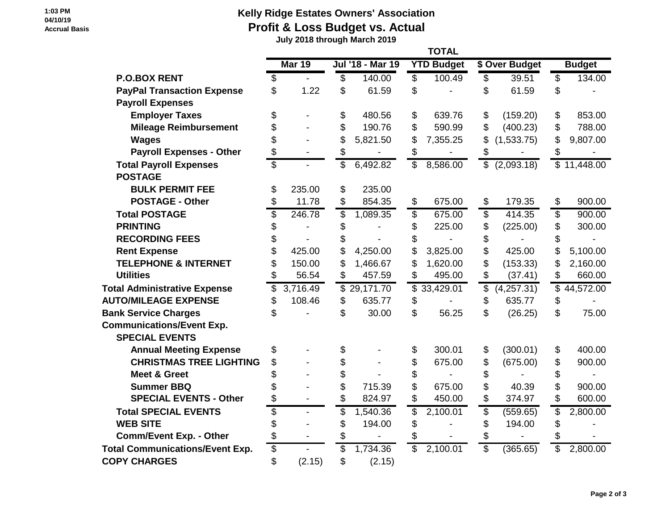## **1:03 PM 04/10/19 Accrual Basis**

## **Kelly Ridge Estates Owners' Association Profit & Loss Budget vs. Actual**

 **July 2018 through March 2019**

|                                        |                          | <b>TOTAL</b>             |    |                  |    |                   |                         |                         |    |                          |  |
|----------------------------------------|--------------------------|--------------------------|----|------------------|----|-------------------|-------------------------|-------------------------|----|--------------------------|--|
|                                        |                          | Mar 19                   |    | Jul '18 - Mar 19 |    | <b>YTD Budget</b> |                         | \$ Over Budget          |    | <b>Budget</b>            |  |
| <b>P.O.BOX RENT</b>                    | \$                       | $\overline{\phantom{a}}$ | \$ | 140.00           | \$ | 100.49            | \$                      | 39.51                   | \$ | 134.00                   |  |
| <b>PayPal Transaction Expense</b>      | \$                       | 1.22                     | \$ | 61.59            | \$ |                   | \$                      | 61.59                   | \$ |                          |  |
| <b>Payroll Expenses</b>                |                          |                          |    |                  |    |                   |                         |                         |    |                          |  |
| <b>Employer Taxes</b>                  | \$                       |                          | \$ | 480.56           | \$ | 639.76            | \$                      | (159.20)                | \$ | 853.00                   |  |
| <b>Mileage Reimbursement</b>           | \$                       |                          | \$ | 190.76           | \$ | 590.99            | \$                      | (400.23)                | \$ | 788.00                   |  |
| <b>Wages</b>                           | \$                       |                          | \$ | 5,821.50         | \$ | 7,355.25          | \$                      | (1,533.75)              | \$ | 9,807.00                 |  |
| <b>Payroll Expenses - Other</b>        | \$                       |                          | \$ |                  | \$ |                   | \$                      |                         | \$ |                          |  |
| <b>Total Payroll Expenses</b>          | $\overline{\mathcal{S}}$ |                          | \$ | 6,492.82         | \$ | 8,586.00          | $\overline{\mathbb{S}}$ | (2,093.18)              |    | $\sqrt{11,448.00}$       |  |
| <b>POSTAGE</b>                         |                          |                          |    |                  |    |                   |                         |                         |    |                          |  |
| <b>BULK PERMIT FEE</b>                 | \$                       | 235.00                   | \$ | 235.00           |    |                   |                         |                         |    |                          |  |
| <b>POSTAGE - Other</b>                 | \$                       | 11.78                    | \$ | 854.35           | \$ | 675.00            | \$                      | 179.35                  | \$ | 900.00                   |  |
| <b>Total POSTAGE</b>                   | $\overline{\$}$          | 246.78                   | \$ | 1,089.35         | \$ | 675.00            | \$                      | 414.35                  | \$ | 900.00                   |  |
| <b>PRINTING</b>                        | \$                       |                          | \$ |                  | \$ | 225.00            | \$                      | (225.00)                | \$ | 300.00                   |  |
| <b>RECORDING FEES</b>                  | \$                       |                          | \$ |                  | \$ |                   | \$                      |                         | \$ |                          |  |
| <b>Rent Expense</b>                    | \$                       | 425.00                   | \$ | 4,250.00         | \$ | 3,825.00          | \$                      | 425.00                  | \$ | 5,100.00                 |  |
| <b>TELEPHONE &amp; INTERNET</b>        | \$                       | 150.00                   |    | 1,466.67         | \$ | 1,620.00          | \$                      | (153.33)                | \$ | 2,160.00                 |  |
| <b>Utilities</b>                       | \$                       | 56.54                    | \$ | 457.59           | \$ | 495.00            | $\mathbb{S}$            | (37.41)                 | \$ | 660.00                   |  |
| <b>Total Administrative Expense</b>    | \$                       | 3,716.49                 |    | \$29,171.70      |    | \$33,429.01       | \$                      | $(4,25\overline{7.31})$ |    | $\overline{$}$ 44,572.00 |  |
| <b>AUTO/MILEAGE EXPENSE</b>            | \$                       | 108.46                   | \$ | 635.77           | \$ |                   | \$                      | 635.77                  | \$ |                          |  |
| <b>Bank Service Charges</b>            | \$                       |                          | \$ | 30.00            | \$ | 56.25             | \$                      | (26.25)                 | \$ | 75.00                    |  |
| <b>Communications/Event Exp.</b>       |                          |                          |    |                  |    |                   |                         |                         |    |                          |  |
| <b>SPECIAL EVENTS</b>                  |                          |                          |    |                  |    |                   |                         |                         |    |                          |  |
| <b>Annual Meeting Expense</b>          | \$                       |                          | \$ |                  | \$ | 300.01            | \$                      | (300.01)                | \$ | 400.00                   |  |
| <b>CHRISTMAS TREE LIGHTING</b>         | \$                       |                          | \$ |                  | \$ | 675.00            | \$                      | (675.00)                | \$ | 900.00                   |  |
| <b>Meet &amp; Greet</b>                | \$                       |                          | \$ |                  | \$ |                   | \$                      |                         | \$ |                          |  |
| <b>Summer BBQ</b>                      | \$                       |                          | \$ | 715.39           | \$ | 675.00            | \$                      | 40.39                   | \$ | 900.00                   |  |
| <b>SPECIAL EVENTS - Other</b>          | \$                       | $\overline{\phantom{a}}$ | \$ | 824.97           | \$ | 450.00            | \$                      | 374.97                  | \$ | 600.00                   |  |
| <b>Total SPECIAL EVENTS</b>            | \$                       | $\overline{\phantom{a}}$ | \$ | 1,540.36         | \$ | 2,100.01          | \$                      | (559.65)                | \$ | 2,800.00                 |  |
| <b>WEB SITE</b>                        | \$                       |                          | \$ | 194.00           | \$ |                   | \$                      | 194.00                  | \$ |                          |  |
| <b>Comm/Event Exp. - Other</b>         | \$                       |                          | \$ |                  | \$ |                   | \$                      |                         | \$ |                          |  |
| <b>Total Communications/Event Exp.</b> | \$                       |                          | \$ | 1,734.36         | \$ | 2,100.01          | $\overline{\$}$         | (365.65)                | \$ | 2,800.00                 |  |
| <b>COPY CHARGES</b>                    | \$                       | (2.15)                   | \$ | (2.15)           |    |                   |                         |                         |    |                          |  |